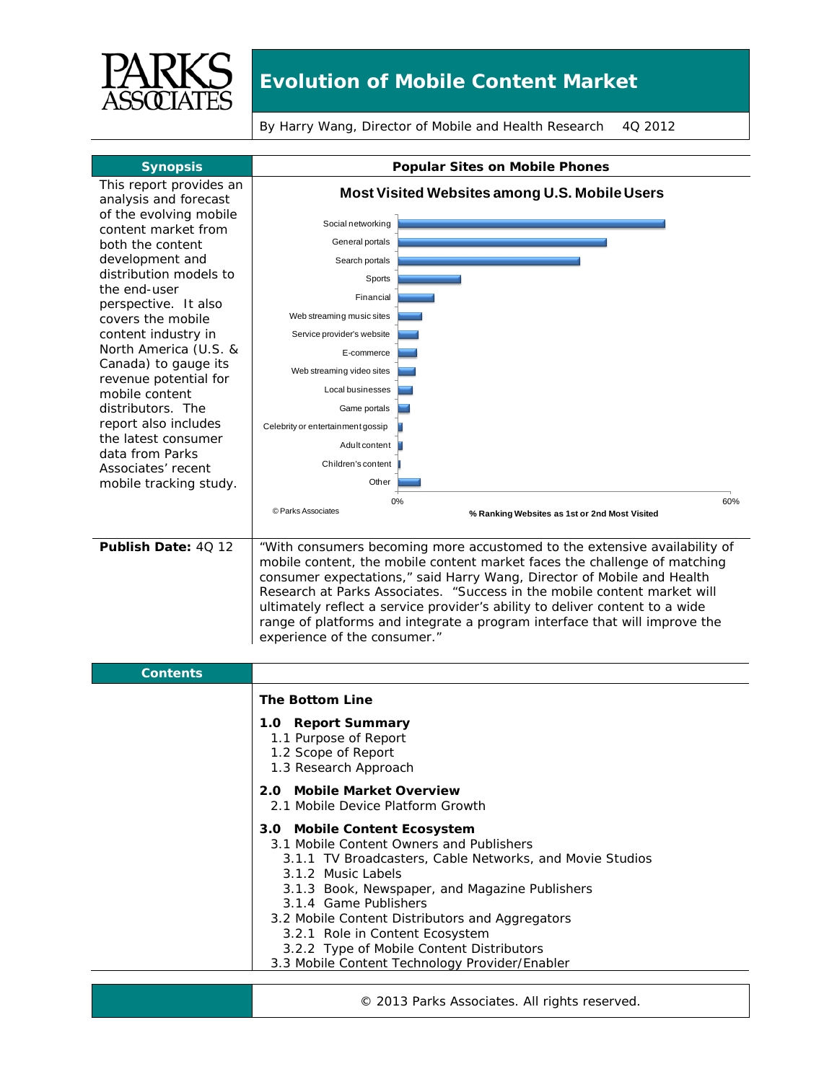

## **Evolution of Mobile Content Market**

By Harry Wang, Director of Mobile and Health Research 4Q 2012

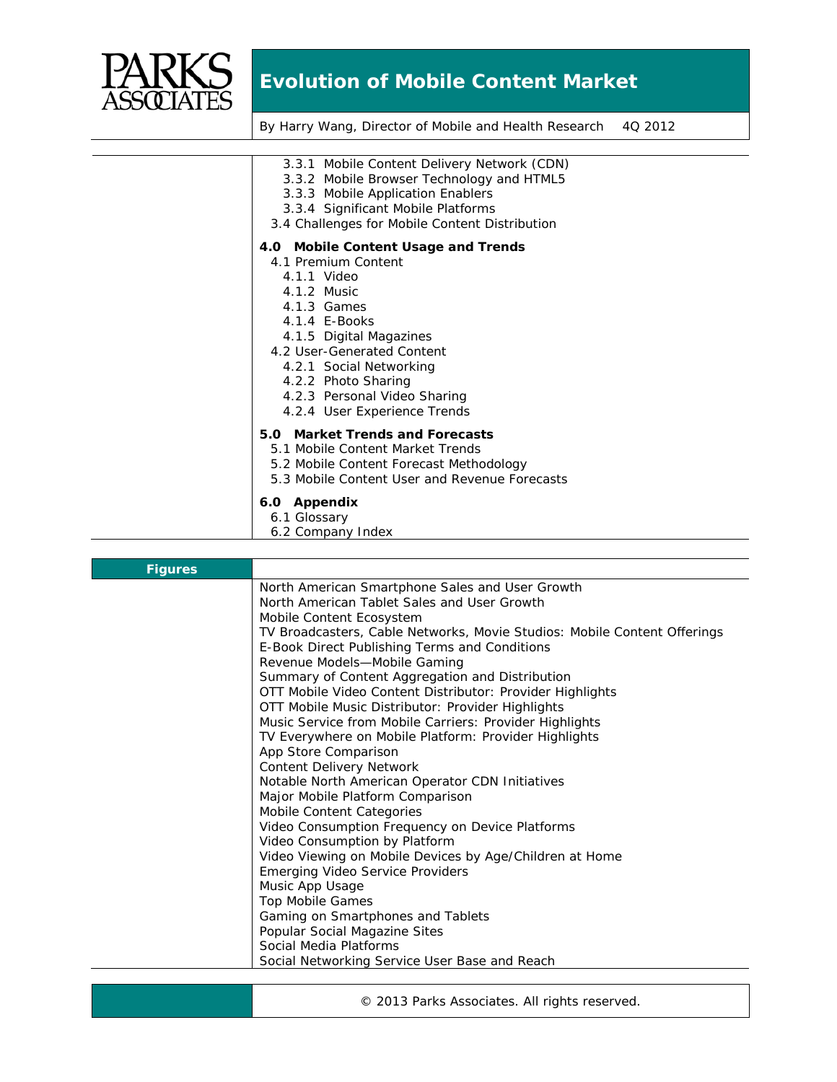

## **Evolution of Mobile Content Market**

By Harry Wang, Director of Mobile and Health Research 4Q 2012

| 3.3.1 Mobile Content Delivery Network (CDN)<br>3.3.2 Mobile Browser Technology and HTML5<br>3.3.3 Mobile Application Enablers<br>3.3.4 Significant Mobile Platforms<br>3.4 Challenges for Mobile Content Distribution |
|-----------------------------------------------------------------------------------------------------------------------------------------------------------------------------------------------------------------------|
| 4.0 Mobile Content Usage and Trends                                                                                                                                                                                   |
| 4.1 Premium Content                                                                                                                                                                                                   |
| 4.1.1 Video                                                                                                                                                                                                           |
| 4.1.2 Music                                                                                                                                                                                                           |
| 4.1.3 Games                                                                                                                                                                                                           |
| 4.1.4 E-Books                                                                                                                                                                                                         |
| 4.1.5 Digital Magazines                                                                                                                                                                                               |
| 4.2 User-Generated Content                                                                                                                                                                                            |
| 4.2.1 Social Networking                                                                                                                                                                                               |
| 4.2.2 Photo Sharing                                                                                                                                                                                                   |
| 4.2.3 Personal Video Sharing                                                                                                                                                                                          |
| 4.2.4 User Experience Trends                                                                                                                                                                                          |
| 5.0 Market Trends and Forecasts                                                                                                                                                                                       |
| 5.1 Mobile Content Market Trends                                                                                                                                                                                      |
| 5.2 Mobile Content Forecast Methodology                                                                                                                                                                               |
| 5.3 Mobile Content User and Revenue Forecasts                                                                                                                                                                         |
| 6.0 Appendix                                                                                                                                                                                                          |
| 6.1 Glossary                                                                                                                                                                                                          |
| 6.2 Company Index                                                                                                                                                                                                     |
|                                                                                                                                                                                                                       |

| <b>Figures</b> |                                                                          |
|----------------|--------------------------------------------------------------------------|
|                | North American Smartphone Sales and User Growth                          |
|                | North American Tablet Sales and User Growth                              |
|                | Mobile Content Ecosystem                                                 |
|                | TV Broadcasters, Cable Networks, Movie Studios: Mobile Content Offerings |
|                | E-Book Direct Publishing Terms and Conditions                            |
|                | Revenue Models-Mobile Gaming                                             |
|                | Summary of Content Aggregation and Distribution                          |
|                | OTT Mobile Video Content Distributor: Provider Highlights                |
|                | OTT Mobile Music Distributor: Provider Highlights                        |
|                | Music Service from Mobile Carriers: Provider Highlights                  |
|                | TV Everywhere on Mobile Platform: Provider Highlights                    |
|                | App Store Comparison                                                     |
|                | <b>Content Delivery Network</b>                                          |
|                | Notable North American Operator CDN Initiatives                          |
|                | Major Mobile Platform Comparison                                         |
|                | Mobile Content Categories                                                |
|                | Video Consumption Frequency on Device Platforms                          |
|                | Video Consumption by Platform                                            |
|                | Video Viewing on Mobile Devices by Age/Children at Home                  |
|                | <b>Emerging Video Service Providers</b>                                  |
|                | Music App Usage                                                          |
|                | <b>Top Mobile Games</b>                                                  |
|                | Gaming on Smartphones and Tablets                                        |
|                | Popular Social Magazine Sites                                            |
|                | Social Media Platforms                                                   |
|                | Social Networking Service User Base and Reach                            |

© 2013 Parks Associates. All rights reserved.